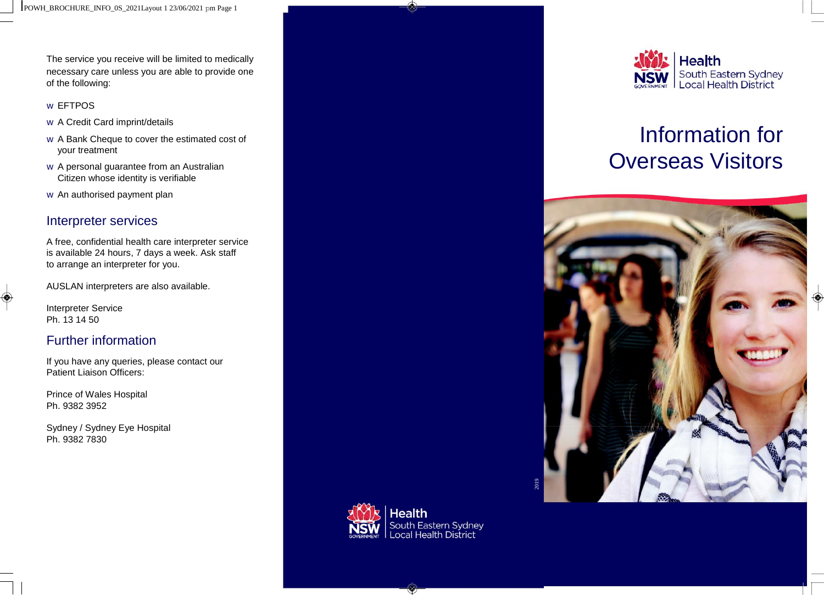The service you receive will be limited to medically necessary care unless you are able to provide one of the following:

#### w EFTPOS

- w A Credit Card imprint/details
- w A Bank Cheque to cover the estimated cost of your treatment
- w A personal guarantee from an Australian Citizen whose identity is verifiable
- w An authorised payment plan

#### Interpreter services

A free, confidential health care interpreter service is available 24 hours, 7 days a week. Ask staff to arrange an interpreter for you.

AUSLAN interpreters are also available.

Interpreter Service Ph. 13 14 50

◈

## Further information

If you have any queries, please contact our Patient Liaison Officers:

Prince of Wales Hospital Ph. 9382 3952

Sydney / Sydney Eye Hospital Ph. 9382 7830